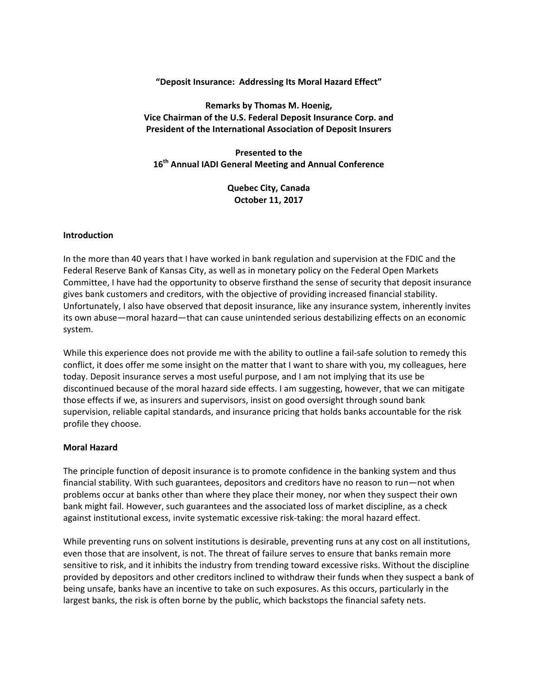## **"Deposit Insurance: Addressing Its Moral Hazard Effect"**

# **Remarks by Thomas M. Hoenig, Vice Chairman of the U.S. Federal Deposit Insurance Corp. and President of the International Association of Deposit Insurers**

**Presented to the 16th Annual IADI General Meeting and Annual Conference**

> **Quebec City, Canada October 11, 2017**

#### **Introduction**

In the more than 40 years that I have worked in bank regulation and supervision at the FDIC and the Federal Reserve Bank of Kansas City, as well as in monetary policy on the Federal Open Markets Committee, I have had the opportunity to observe firsthand the sense of security that deposit insurance gives bank customers and creditors, with the objective of providing increased financial stability. Unfortunately, I also have observed that deposit insurance, like any insurance system, inherently invites its own abuse—moral hazard—that can cause unintended serious destabilizing effects on an economic system.

While this experience does not provide me with the ability to outline a fail-safe solution to remedy this conflict, it does offer me some insight on the matter that I want to share with you, my colleagues, here today. Deposit insurance serves a most useful purpose, and I am not implying that its use be discontinued because of the moral hazard side effects. I am suggesting, however, that we can mitigate those effects if we, as insurers and supervisors, insist on good oversight through sound bank supervision, reliable capital standards, and insurance pricing that holds banks accountable for the risk profile they choose.

#### **Moral Hazard**

The principle function of deposit insurance is to promote confidence in the banking system and thus financial stability. With such guarantees, depositors and creditors have no reason to run—not when problems occur at banks other than where they place their money, nor when they suspect their own bank might fail. However, such guarantees and the associated loss of market discipline, as a check against institutional excess, invite systematic excessive risk-taking: the moral hazard effect.

While preventing runs on solvent institutions is desirable, preventing runs at any cost on all institutions, even those that are insolvent, is not. The threat of failure serves to ensure that banks remain more sensitive to risk, and it inhibits the industry from trending toward excessive risks. Without the discipline provided by depositors and other creditors inclined to withdraw their funds when they suspect a bank of being unsafe, banks have an incentive to take on such exposures. As this occurs, particularly in the largest banks, the risk is often borne by the public, which backstops the financial safety nets.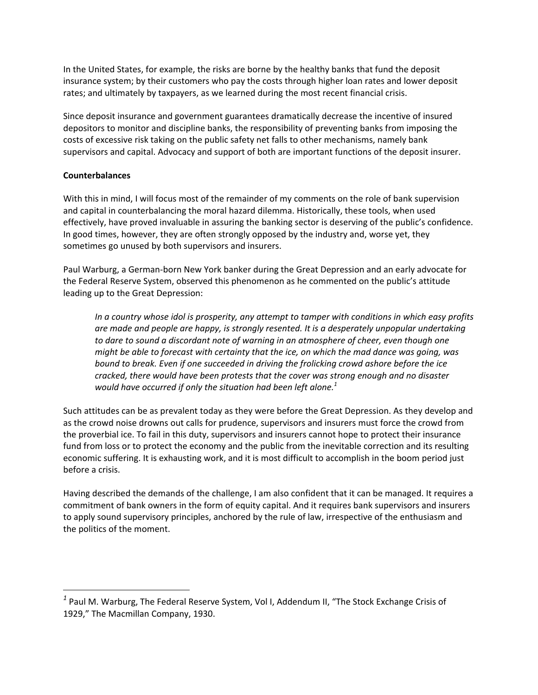In the United States, for example, the risks are borne by the healthy banks that fund the deposit insurance system; by their customers who pay the costs through higher loan rates and lower deposit rates; and ultimately by taxpayers, as we learned during the most recent financial crisis.

Since deposit insurance and government guarantees dramatically decrease the incentive of insured depositors to monitor and discipline banks, the responsibility of preventing banks from imposing the costs of excessive risk taking on the public safety net falls to other mechanisms, namely bank supervisors and capital. Advocacy and support of both are important functions of the deposit insurer.

## **Counterbalances**

 $\overline{a}$ 

With this in mind, I will focus most of the remainder of my comments on the role of bank supervision and capital in counterbalancing the moral hazard dilemma. Historically, these tools, when used effectively, have proved invaluable in assuring the banking sector is deserving of the public's confidence. In good times, however, they are often strongly opposed by the industry and, worse yet, they sometimes go unused by both supervisors and insurers.

Paul Warburg, a German-born New York banker during the Great Depression and an early advocate for the Federal Reserve System, observed this phenomenon as he commented on the public's attitude leading up to the Great Depression:

*In a country whose idol is prosperity, any attempt to tamper with conditions in which easy profits are made and people are happy, is strongly resented. It is a desperately unpopular undertaking to dare to sound a discordant note of warning in an atmosphere of cheer, even though one might be able to forecast with certainty that the ice, on which the mad dance was going, was bound to break. Even if one succeeded in driving the frolicking crowd ashore before the ice cracked, there would have been protests that the cover was strong enough and no disaster would have occurred if only the situation had been left alone. 1*

Such attitudes can be as prevalent today as they were before the Great Depression. As they develop and as the crowd noise drowns out calls for prudence, supervisors and insurers must force the crowd from the proverbial ice. To fail in this duty, supervisors and insurers cannot hope to protect their insurance fund from loss or to protect the economy and the public from the inevitable correction and its resulting economic suffering. It is exhausting work, and it is most difficult to accomplish in the boom period just before a crisis.

Having described the demands of the challenge, I am also confident that it can be managed. It requires a commitment of bank owners in the form of equity capital. And it requires bank supervisors and insurers to apply sound supervisory principles, anchored by the rule of law, irrespective of the enthusiasm and the politics of the moment.

*<sup>1</sup>* Paul M. Warburg, The Federal Reserve System, Vol I, Addendum II, "The Stock Exchange Crisis of 1929," The Macmillan Company, 1930.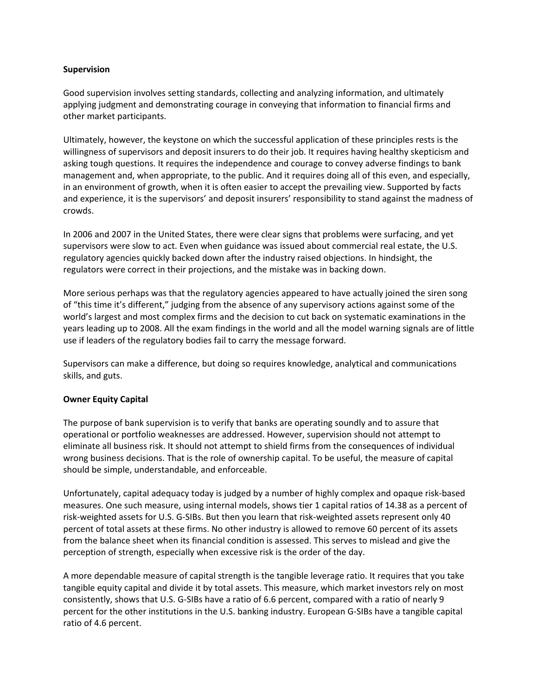### **Supervision**

Good supervision involves setting standards, collecting and analyzing information, and ultimately applying judgment and demonstrating courage in conveying that information to financial firms and other market participants.

Ultimately, however, the keystone on which the successful application of these principles rests is the willingness of supervisors and deposit insurers to do their job. It requires having healthy skepticism and asking tough questions. It requires the independence and courage to convey adverse findings to bank management and, when appropriate, to the public. And it requires doing all of this even, and especially, in an environment of growth, when it is often easier to accept the prevailing view. Supported by facts and experience, it is the supervisors' and deposit insurers' responsibility to stand against the madness of crowds.

In 2006 and 2007 in the United States, there were clear signs that problems were surfacing, and yet supervisors were slow to act. Even when guidance was issued about commercial real estate, the U.S. regulatory agencies quickly backed down after the industry raised objections. In hindsight, the regulators were correct in their projections, and the mistake was in backing down.

More serious perhaps was that the regulatory agencies appeared to have actually joined the siren song of "this time it's different," judging from the absence of any supervisory actions against some of the world's largest and most complex firms and the decision to cut back on systematic examinations in the years leading up to 2008. All the exam findings in the world and all the model warning signals are of little use if leaders of the regulatory bodies fail to carry the message forward.

Supervisors can make a difference, but doing so requires knowledge, analytical and communications skills, and guts.

## **Owner Equity Capital**

The purpose of bank supervision is to verify that banks are operating soundly and to assure that operational or portfolio weaknesses are addressed. However, supervision should not attempt to eliminate all business risk. It should not attempt to shield firms from the consequences of individual wrong business decisions. That is the role of ownership capital. To be useful, the measure of capital should be simple, understandable, and enforceable.

Unfortunately, capital adequacy today is judged by a number of highly complex and opaque risk-based measures. One such measure, using internal models, shows tier 1 capital ratios of 14.38 as a percent of risk-weighted assets for U.S. G-SIBs. But then you learn that risk-weighted assets represent only 40 percent of total assets at these firms. No other industry is allowed to remove 60 percent of its assets from the balance sheet when its financial condition is assessed. This serves to mislead and give the perception of strength, especially when excessive risk is the order of the day.

A more dependable measure of capital strength is the tangible leverage ratio. It requires that you take tangible equity capital and divide it by total assets. This measure, which market investors rely on most consistently, shows that U.S. G-SIBs have a ratio of 6.6 percent, compared with a ratio of nearly 9 percent for the other institutions in the U.S. banking industry. European G-SIBs have a tangible capital ratio of 4.6 percent.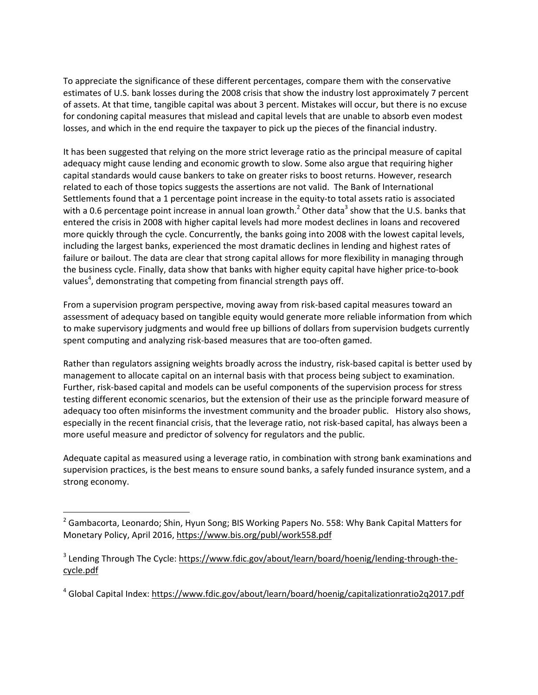To appreciate the significance of these different percentages, compare them with the conservative estimates of U.S. bank losses during the 2008 crisis that show the industry lost approximately 7 percent of assets. At that time, tangible capital was about 3 percent. Mistakes will occur, but there is no excuse for condoning capital measures that mislead and capital levels that are unable to absorb even modest losses, and which in the end require the taxpayer to pick up the pieces of the financial industry.

It has been suggested that relying on the more strict leverage ratio as the principal measure of capital adequacy might cause lending and economic growth to slow. Some also argue that requiring higher capital standards would cause bankers to take on greater risks to boost returns. However, research related to each of those topics suggests the assertions are not valid. The Bank of International Settlements found that a 1 percentage point increase in the equity-to total assets ratio is associated with a 0.6 percentage point increase in annual loan growth.<sup>2</sup> Other data<sup>3</sup> show that the U.S. banks that entered the crisis in 2008 with higher capital levels had more modest declines in loans and recovered more quickly through the cycle. Concurrently, the banks going into 2008 with the lowest capital levels, including the largest banks, experienced the most dramatic declines in lending and highest rates of failure or bailout. The data are clear that strong capital allows for more flexibility in managing through the business cycle. Finally, data show that banks with higher equity capital have higher price-to-book values<sup>4</sup>, demonstrating that competing from financial strength pays off.

From a supervision program perspective, moving away from risk-based capital measures toward an assessment of adequacy based on tangible equity would generate more reliable information from which to make supervisory judgments and would free up billions of dollars from supervision budgets currently spent computing and analyzing risk-based measures that are too-often gamed.

Rather than regulators assigning weights broadly across the industry, risk-based capital is better used by management to allocate capital on an internal basis with that process being subject to examination. Further, risk-based capital and models can be useful components of the supervision process for stress testing different economic scenarios, but the extension of their use as the principle forward measure of adequacy too often misinforms the investment community and the broader public. History also shows, especially in the recent financial crisis, that the leverage ratio, not risk-based capital, has always been a more useful measure and predictor of solvency for regulators and the public.

Adequate capital as measured using a leverage ratio, in combination with strong bank examinations and supervision practices, is the best means to ensure sound banks, a safely funded insurance system, and a strong economy.

 $\overline{a}$ 

<sup>&</sup>lt;sup>2</sup> Gambacorta, Leonardo; Shin, Hyun Song; BIS Working Papers No. 558: Why Bank Capital Matters for Monetary Policy, April 2016, <https://www.bis.org/publ/work558.pdf>

<sup>&</sup>lt;sup>3</sup> Lending Through The Cycle: [https://www.fdic.gov/about/learn/board/hoenig/lending-through-the](https://www.fdic.gov/about/learn/board/hoenig/lending-through-the-cycle.pdf)[cycle.pdf](https://www.fdic.gov/about/learn/board/hoenig/lending-through-the-cycle.pdf)

<sup>&</sup>lt;sup>4</sup> Global Capital Index: <https://www.fdic.gov/about/learn/board/hoenig/capitalizationratio2q2017.pdf>